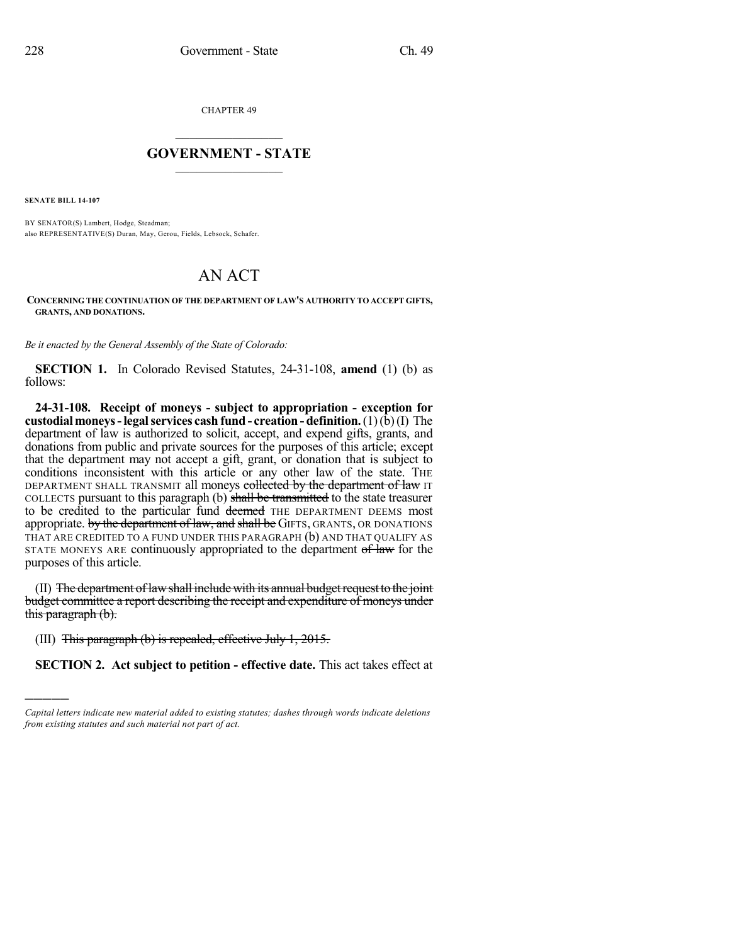CHAPTER 49

## $\overline{\phantom{a}}$  . The set of the set of the set of the set of the set of the set of the set of the set of the set of the set of the set of the set of the set of the set of the set of the set of the set of the set of the set o **GOVERNMENT - STATE**  $\_$

**SENATE BILL 14-107**

)))))

BY SENATOR(S) Lambert, Hodge, Steadman; also REPRESENTATIVE(S) Duran, May, Gerou, Fields, Lebsock, Schafer.

## AN ACT

## **CONCERNING THE CONTINUATION OF THE DEPARTMENT OF LAW'S AUTHORITY TO ACCEPT GIFTS, GRANTS, AND DONATIONS.**

*Be it enacted by the General Assembly of the State of Colorado:*

**SECTION 1.** In Colorado Revised Statutes, 24-31-108, **amend** (1) (b) as follows:

**24-31-108. Receipt of moneys - subject to appropriation - exception for custodialmoneys-legalservices cash fund- creation - definition.**(1)(b)(I) The department of law is authorized to solicit, accept, and expend gifts, grants, and donations from public and private sources for the purposes of this article; except that the department may not accept a gift, grant, or donation that is subject to conditions inconsistent with this article or any other law of the state. THE DEPARTMENT SHALL TRANSMIT all moneys collected by the department of law IT COLLECTS pursuant to this paragraph (b) shall be transmitted to the state treasurer to be credited to the particular fund deemed THE DEPARTMENT DEEMS most appropriate. by the department of law, and shall be GIFTS, GRANTS, OR DONATIONS THAT ARE CREDITED TO A FUND UNDER THIS PARAGRAPH (b) AND THAT QUALIFY AS STATE MONEYS ARE continuously appropriated to the department of law for the purposes of this article.

(II) The department of law shall include with its annual budget request to the joint budget committee a report describing the receipt and expenditure of moneys under this paragraph (b).

(III) This paragraph (b) is repealed, effective July 1, 2015.

**SECTION 2. Act subject to petition - effective date.** This act takes effect at

*Capital letters indicate new material added to existing statutes; dashes through words indicate deletions from existing statutes and such material not part of act.*